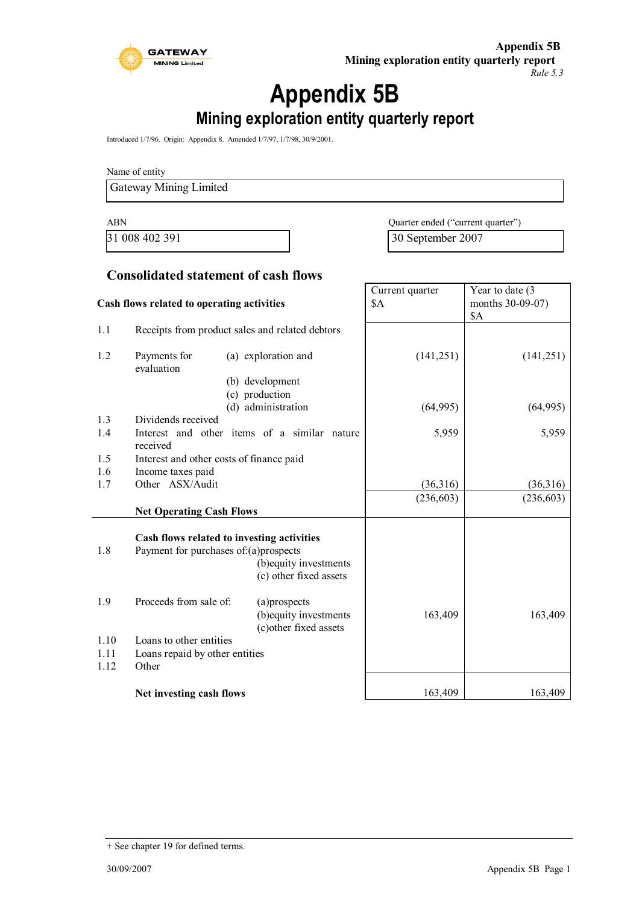

# **Appendix 5B Mining exploration entity quarterly report**

Introduced 1/7/96. Origin: Appendix 8. Amended 1/7/97, 1/7/98, 30/9/2001.

Name of entity

Gateway Mining Limited

ABN Quarter ended ("current quarter") 31 008 402 391 30 September 2007

Year to date (3)

⅂

Current quarter

### **Consolidated statement of cash flows**

| Cash flows related to operating activities |                                          |                                                 | \$A        | months 30-09-07)<br><b>\$A</b> |
|--------------------------------------------|------------------------------------------|-------------------------------------------------|------------|--------------------------------|
| 1.1                                        |                                          | Receipts from product sales and related debtors |            |                                |
| 1.2                                        | Payments for<br>evaluation               | (a) exploration and                             | (141, 251) | (141, 251)                     |
|                                            |                                          | (b) development                                 |            |                                |
|                                            |                                          | (c) production<br>(d) administration            | (64,995)   | (64,995)                       |
| 1.3                                        | Dividends received                       |                                                 |            |                                |
| 1.4                                        | received                                 | Interest and other items of a similar nature    | 5,959      | 5,959                          |
| 1.5                                        | Interest and other costs of finance paid |                                                 |            |                                |
| 1.6                                        | Income taxes paid                        |                                                 |            |                                |
| 1.7                                        | Other ASX/Audit                          |                                                 | (36,316)   | (36,316)                       |
|                                            |                                          |                                                 | (236, 603) | (236, 603)                     |
|                                            | <b>Net Operating Cash Flows</b>          |                                                 |            |                                |
|                                            |                                          | Cash flows related to investing activities      |            |                                |
| 1.8                                        | Payment for purchases of:(a)prospects    |                                                 |            |                                |
|                                            |                                          | (b) equity investments                          |            |                                |
|                                            |                                          | (c) other fixed assets                          |            |                                |
| 1.9                                        | Proceeds from sale of:                   | (a)prospects                                    |            |                                |
|                                            |                                          | (b) equity investments                          | 163,409    | 163,409                        |
|                                            |                                          | (c) other fixed assets                          |            |                                |
| 1.10                                       | Loans to other entities                  |                                                 |            |                                |
| 1.11                                       | Loans repaid by other entities           |                                                 |            |                                |
| 1.12                                       | Other                                    |                                                 |            |                                |
|                                            | Net investing cash flows                 |                                                 | 163,409    | 163,409                        |

<sup>+</sup> See chapter 19 for defined terms.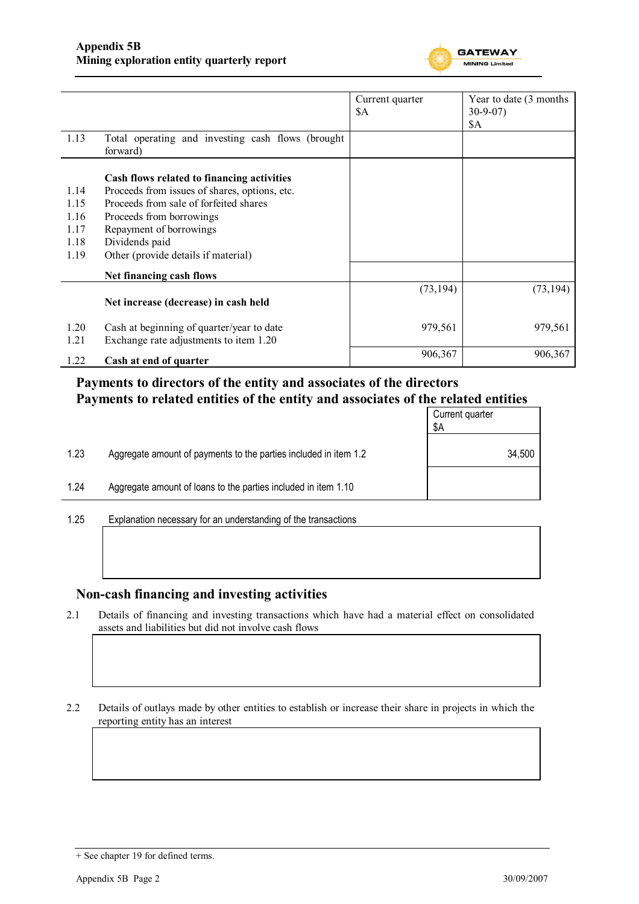

|              |                                                                                             | Current quarter<br>\$Α | Year to date (3 months)<br>$30-9-07$<br>\$A |
|--------------|---------------------------------------------------------------------------------------------|------------------------|---------------------------------------------|
| 1.13         | Total operating and investing cash flows (brought<br>forward)                               |                        |                                             |
| 1.14         | Cash flows related to financing activities<br>Proceeds from issues of shares, options, etc. |                        |                                             |
| 1.15         | Proceeds from sale of forfeited shares                                                      |                        |                                             |
| 1.16         | Proceeds from borrowings                                                                    |                        |                                             |
| 1.17         | Repayment of borrowings                                                                     |                        |                                             |
| 1.18         | Dividends paid                                                                              |                        |                                             |
| 1.19         | Other (provide details if material)                                                         |                        |                                             |
|              | Net financing cash flows                                                                    |                        |                                             |
|              | Net increase (decrease) in cash held                                                        | (73, 194)              | (73, 194)                                   |
| 1.20<br>1.21 | Cash at beginning of quarter/year to date<br>Exchange rate adjustments to item 1.20         | 979,561                | 979,561                                     |
| 1.22         | Cash at end of quarter                                                                      | 906,367                | 906,367                                     |

### **Payments to directors of the entity and associates of the directors Payments to related entities of the entity and associates of the related entities**

|      |                                                                  | Current quarter<br>\$Α |
|------|------------------------------------------------------------------|------------------------|
| 1.23 | Aggregate amount of payments to the parties included in item 1.2 | 34,500                 |
| 1.24 | Aggregate amount of loans to the parties included in item 1.10   |                        |
|      |                                                                  |                        |

1.25 Explanation necessary for an understanding of the transactions

### **Non-cash financing and investing activities**

2.1 Details of financing and investing transactions which have had a material effect on consolidated assets and liabilities but did not involve cash flows

2.2 Details of outlays made by other entities to establish or increase their share in projects in which the reporting entity has an interest

<sup>+</sup> See chapter 19 for defined terms.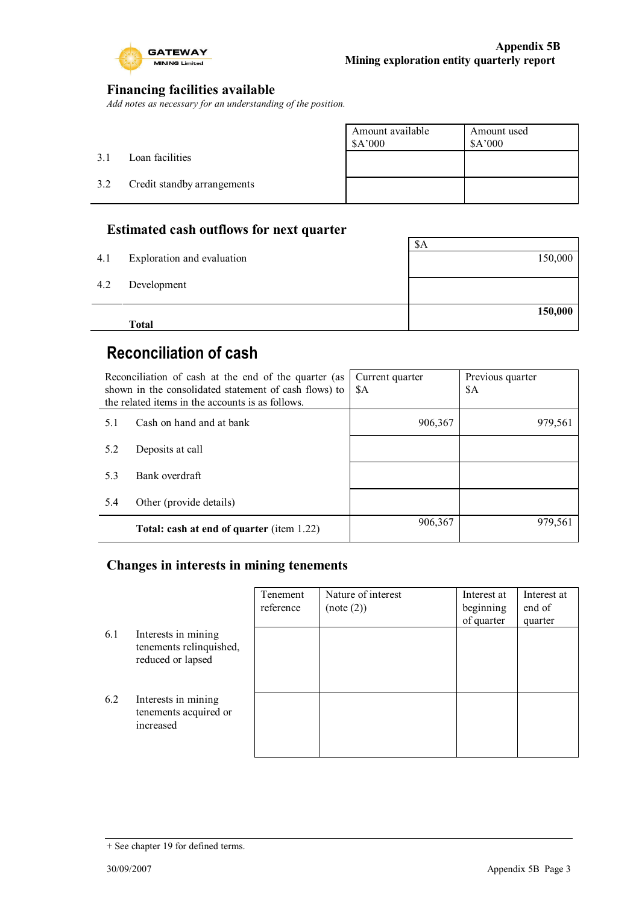

### **Financing facilities available**

*Add notes as necessary for an understanding of the position.*

|     |                             | Amount available<br>\$A'000 | Amount used<br>\$A'000 |
|-----|-----------------------------|-----------------------------|------------------------|
| 3.1 | Loan facilities             |                             |                        |
| 3.2 | Credit standby arrangements |                             |                        |
|     |                             |                             |                        |

### **Estimated cash outflows for next quarter**

|     | <b>Total</b>               | 150,000 |
|-----|----------------------------|---------|
| 4.2 | Development                |         |
| 4.1 | Exploration and evaluation | 150,000 |
|     |                            | \$A     |

# **Reconciliation of cash**

| Reconciliation of cash at the end of the quarter (as<br>shown in the consolidated statement of cash flows) to<br>the related items in the accounts is as follows. |                                                  | Current quarter<br>\$A | Previous quarter<br>\$A |
|-------------------------------------------------------------------------------------------------------------------------------------------------------------------|--------------------------------------------------|------------------------|-------------------------|
| 5.1                                                                                                                                                               | Cash on hand and at bank                         | 906,367                | 979,561                 |
| 5.2                                                                                                                                                               | Deposits at call                                 |                        |                         |
| 5.3                                                                                                                                                               | Bank overdraft                                   |                        |                         |
| 5.4                                                                                                                                                               | Other (provide details)                          |                        |                         |
|                                                                                                                                                                   | <b>Total: cash at end of quarter (item 1.22)</b> | 906,367                | 979,561                 |

### **Changes in interests in mining tenements**

|     |                                                                     | Tenement<br>reference | Nature of interest<br>(note (2)) | Interest at<br>beginning<br>of quarter | Interest at<br>end of<br>quarter |
|-----|---------------------------------------------------------------------|-----------------------|----------------------------------|----------------------------------------|----------------------------------|
| 6.1 | Interests in mining<br>tenements relinquished,<br>reduced or lapsed |                       |                                  |                                        |                                  |
| 6.2 | Interests in mining<br>tenements acquired or<br>increased           |                       |                                  |                                        |                                  |

<sup>+</sup> See chapter 19 for defined terms.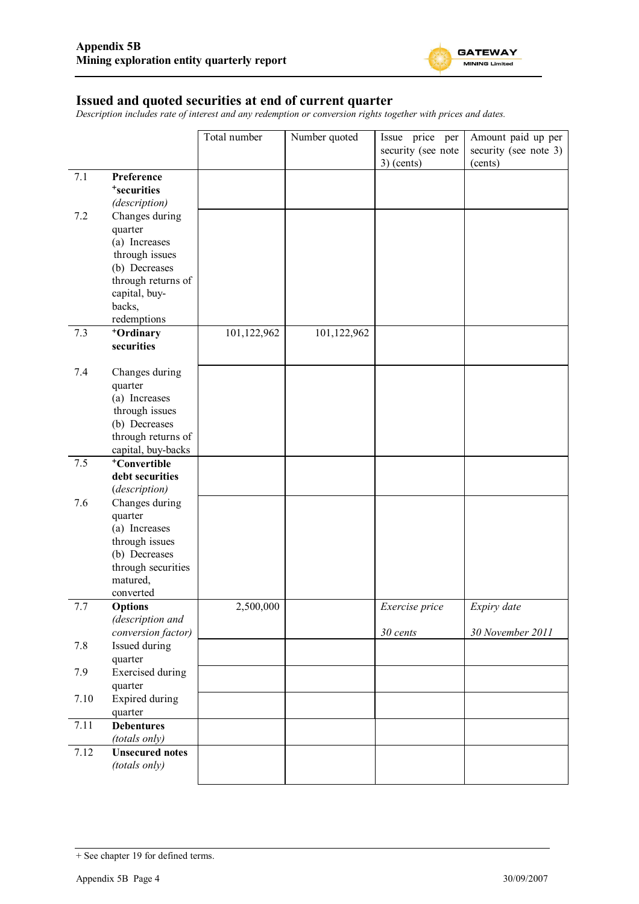

### **Issued and quoted securities at end of current quarter**

*Description includes rate of interest and any redemption or conversion rights together with prices and dates.*

|      |                                    | Total number | Number quoted | Issue price per    | Amount paid up per    |
|------|------------------------------------|--------------|---------------|--------------------|-----------------------|
|      |                                    |              |               | security (see note | security (see note 3) |
|      |                                    |              |               | $3)$ (cents)       | (cents)               |
| 7.1  | Preference                         |              |               |                    |                       |
|      | <sup>+</sup> securities            |              |               |                    |                       |
|      | (description)                      |              |               |                    |                       |
| 7.2  | Changes during<br>quarter          |              |               |                    |                       |
|      | (a) Increases                      |              |               |                    |                       |
|      | through issues                     |              |               |                    |                       |
|      | (b) Decreases                      |              |               |                    |                       |
|      | through returns of                 |              |               |                    |                       |
|      | capital, buy-                      |              |               |                    |                       |
|      | backs,                             |              |               |                    |                       |
|      | redemptions                        |              |               |                    |                       |
| 7.3  | <sup>+</sup> Ordinary              | 101,122,962  | 101,122,962   |                    |                       |
|      | securities                         |              |               |                    |                       |
| 7.4  | Changes during                     |              |               |                    |                       |
|      | quarter                            |              |               |                    |                       |
|      | (a) Increases                      |              |               |                    |                       |
|      | through issues                     |              |               |                    |                       |
|      | (b) Decreases                      |              |               |                    |                       |
|      | through returns of                 |              |               |                    |                       |
|      | capital, buy-backs                 |              |               |                    |                       |
| 7.5  | <sup>+</sup> Convertible           |              |               |                    |                       |
|      | debt securities<br>(description)   |              |               |                    |                       |
| 7.6  | Changes during                     |              |               |                    |                       |
|      | quarter                            |              |               |                    |                       |
|      | (a) Increases                      |              |               |                    |                       |
|      | through issues                     |              |               |                    |                       |
|      | (b) Decreases                      |              |               |                    |                       |
|      | through securities                 |              |               |                    |                       |
|      | matured,                           |              |               |                    |                       |
|      | converted                          |              |               |                    |                       |
| 7.7  | <b>Options</b><br>(description and | 2,500,000    |               | Exercise price     | Expiry date           |
|      | conversion factor)                 |              |               | 30 cents           | 30 November 2011      |
| 7.8  | Issued during                      |              |               |                    |                       |
|      | quarter                            |              |               |                    |                       |
| 7.9  | <b>Exercised</b> during            |              |               |                    |                       |
|      | quarter                            |              |               |                    |                       |
| 7.10 | <b>Expired during</b>              |              |               |                    |                       |
|      | quarter                            |              |               |                    |                       |
| 7.11 | <b>Debentures</b>                  |              |               |                    |                       |
|      | (totals only)                      |              |               |                    |                       |
| 7.12 | <b>Unsecured notes</b>             |              |               |                    |                       |
|      | (totals only)                      |              |               |                    |                       |

<sup>+</sup> See chapter 19 for defined terms.